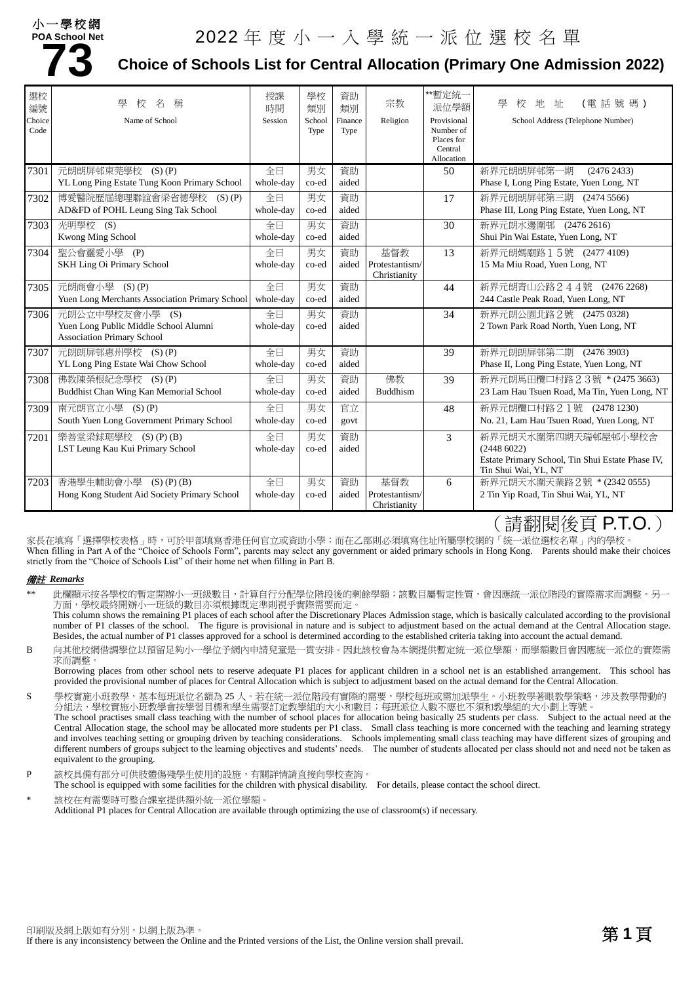### 小一學校網

# **POA School Net**

# **73** DA School Net 2022 年度小一人學統一派位選校名單<br>T3 Choice of Schools List for Central Allocation (Primary One Admi **Choice of Schools List for Central Allocation (Primary One Admission 2022)**

| 選校<br>編號<br>Choice<br>Code | 壆<br>名<br>稱<br>校<br>Name of School                                         | 授課<br>時間<br>Session | 學校<br>類別<br>School<br>Type | 資助<br>類別<br>Finance<br>Type | 宗教<br>Religion                 | **暫定統一<br>派位學額<br>Provisional<br>Number of<br>Places for<br>Central<br>Allocation | 壆<br>(電話號碼)<br>地<br>址<br>校<br>School Address (Telephone Number)          |
|----------------------------|----------------------------------------------------------------------------|---------------------|----------------------------|-----------------------------|--------------------------------|-----------------------------------------------------------------------------------|--------------------------------------------------------------------------|
| 7301                       | 元朗朗屏邨東莞學校<br>$(S)$ $(P)$                                                   | 全日                  | 男女                         | 資助                          |                                | 50                                                                                | 新界元朗朗屏邨第一期<br>(2476 2433)                                                |
|                            | YL Long Ping Estate Tung Koon Primary School                               | whole-day           | co-ed                      | aided                       |                                |                                                                                   | Phase I, Long Ping Estate, Yuen Long, NT                                 |
| 7302                       | 博愛醫院歷屆總理聯誼會梁省德學校 (S)(P)                                                    | 全日                  | 男女                         | 資助                          |                                | 17                                                                                | 新界元朗朗屏邨第三期 (2474 5566)                                                   |
|                            | AD&FD of POHL Leung Sing Tak School                                        | whole-day           | co-ed                      | aided                       |                                |                                                                                   | Phase III, Long Ping Estate, Yuen Long, NT                               |
| 7303                       | 光明學校 (S)                                                                   | 全日                  | 男女                         | 資助                          |                                | 30                                                                                | 新界元朗水邊圍邨 (2476 2616)                                                     |
|                            | Kwong Ming School                                                          | whole-day           | co-ed                      | aided                       |                                |                                                                                   | Shui Pin Wai Estate, Yuen Long, NT                                       |
| 7304                       | 聖公會靈愛小學 (P)                                                                | 全日                  | 男女                         | 資助                          | 基督教                            | 13                                                                                | 新界元朗媽廟路15號 (24774109)                                                    |
|                            | SKH Ling Oi Primary School                                                 | whole-day           | co-ed                      | aided                       | Protestantism/<br>Christianity |                                                                                   | 15 Ma Miu Road, Yuen Long, NT                                            |
| 7305                       | 元朗商會小學 (S)(P)                                                              | 全日                  | 男女                         | 資助                          |                                | 44                                                                                | 新界元朗青山公路244號 (24762268)                                                  |
|                            | Yuen Long Merchants Association Primary School                             | whole-day           | co-ed                      | aided                       |                                |                                                                                   | 244 Castle Peak Road, Yuen Long, NT                                      |
| 7306                       | 元朗公立中學校友會小學 (S)                                                            | 全日                  | 男女                         | 資助                          |                                | 34                                                                                | 新界元朗公園北路2號 (2475 0328)                                                   |
|                            | Yuen Long Public Middle School Alumni<br><b>Association Primary School</b> | whole-day           | co-ed                      | aided                       |                                |                                                                                   | 2 Town Park Road North, Yuen Long, NT                                    |
| 7307                       | 元朗朗屏邨惠州學校 (S)(P)                                                           | 全日                  | 男女                         | 資助                          |                                | 39                                                                                | 新界元朗朗屏邨第二期 (2476 3903)                                                   |
|                            | YL Long Ping Estate Wai Chow School                                        | whole-day           | co-ed                      | aided                       |                                |                                                                                   | Phase II, Long Ping Estate, Yuen Long, NT                                |
| 7308                       | 佛教陳榮根紀念學校 (S)(P)                                                           | 全日                  | 男女                         | 資助                          | 佛教                             | 39                                                                                | 新界元朗馬田欖口村路23號 *(2475 3663)                                               |
|                            | Buddhist Chan Wing Kan Memorial School                                     | whole-day           | co-ed                      | aided                       | <b>Buddhism</b>                |                                                                                   | 23 Lam Hau Tsuen Road, Ma Tin, Yuen Long, NT                             |
| 7309                       | 南元朗官立小學 (S)(P)                                                             | 全日                  | 男女                         | 官立                          |                                | 48                                                                                | 新界元朗欖口村路21號 (2478 1230)                                                  |
|                            | South Yuen Long Government Primary School                                  | whole-day           | co-ed                      | govt                        |                                |                                                                                   | No. 21, Lam Hau Tsuen Road, Yuen Long, NT                                |
| 7201                       | 樂善堂梁銶琚學校 (S)(P)(B)                                                         | 全日                  | 男女                         | 資助                          |                                | 3                                                                                 | 新界元朗天水圍第四期天瑞邨屋邨小學校舍                                                      |
|                            | LST Leung Kau Kui Primary School                                           | whole-day           | co-ed                      | aided                       |                                |                                                                                   | (24486022)                                                               |
|                            |                                                                            |                     |                            |                             |                                |                                                                                   | Estate Primary School, Tin Shui Estate Phase IV,<br>Tin Shui Wai, YL, NT |
| 7203                       | 香港學生輔助會小學<br>$(S)$ $(P)$ $(B)$                                             | 全日                  | 男女                         | 資助                          | 基督教                            | 6                                                                                 | 新界元朗天水圍天業路 2號 * (2342 0555)                                              |
|                            | Hong Kong Student Aid Society Primary School                               | whole-day           | co-ed                      | aided                       | Protestantism/<br>Christianity |                                                                                   | 2 Tin Yip Road, Tin Shui Wai, YL, NT                                     |

## (請翻閱後頁 P.T.O.)

家長在填寫「選擇學校表格」時,可於甲部填寫香港任何官立或資助小學;而在乙部則必須填寫住址所屬學校網的「統一派位選校名單」內的學校。 When filling in Part A of the "Choice of Schools Form", parents may select any government or aided primary schools in Hong Kong. Parents should make their choices strictly from the "Choice of Schools List" of their home net when filling in Part B.

#### 備註 *Remarks*

此欄顯示按各學校的暫定開辦小一班級數目,計算自行分配學位階段後的剩餘學額;該數目屬暫定性質,會因應統一派位階段的實際需求而調整。另一 方面,學校最終開辦小一班級的數目亦須根據既定準則視乎實際需要而定。

This column shows the remaining P1 places of each school after the Discretionary Places Admission stage, which is basically calculated according to the provisional number of P1 classes of the school. The figure is provisional in nature and is subject to adjustment based on the actual demand at the Central Allocation stage. Besides, the actual number of P1 classes approved for a school is determined according to the established criteria taking into account the actual demand.

B 向其他校網借調學位以預留足夠小一學位予網內申請兒童是一貫安排。因此該校會為本網提供暫定統一派位學額,而學額數目會因應統一派位的實際需 求而調整。

Borrowing places from other school nets to reserve adequate P1 places for applicant children in a school net is an established arrangement. This school has provided the provisional number of places for Central Allocation which is subject to adjustment based on the actual demand for the Central Allocation.

S 學校實施小班教學,基本每班派位名額為 25 人。若在統一派位階段有實際的需要,學校每班或需加派學生。小班教學著眼教學策略,涉及教學帶動的 分組法,學校實施小班教學會按學習目標和學生需要訂定教學組的大小和數目;每班派位人數不應也不須和教學組的大小劃上等號。 The school practises small class teaching with the number of school places for allocation being basically 25 students per class. Subject to the actual need at the Central Allocation stage, the school may be allocated more students per P1 class. Small class teaching is more concerned with the teaching and learning strategy and involves teaching setting or grouping driven by teaching considerations. Schools implementing small class teaching may have different sizes of grouping and different numbers of groups subject to the learning objectives and students' needs. The number of students allocated per class should not and need not be taken as equivalent to the grouping.

P 該校具備有部分可供肢體傷殘學生使用的設施,有關詳情請直接向學校查詢。

The school is equipped with some facilities for the children with physical disability. For details, please contact the school direct.

該校在有需要時可整合課室提供額外統一派位學額。 Additional P1 places for Central Allocation are available through optimizing the use of classroom(s) if necessary.